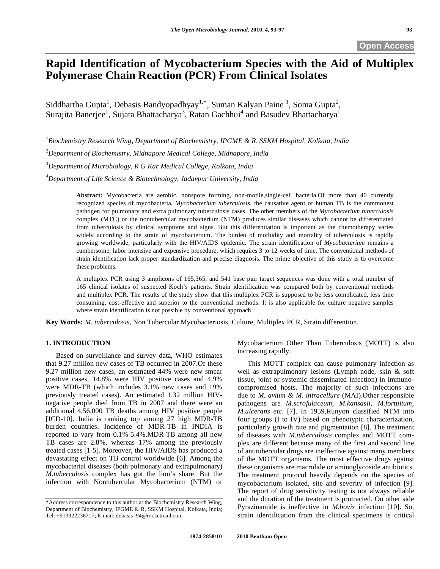# **Rapid Identification of Mycobacterium Species with the Aid of Multiplex Polymerase Chain Reaction (PCR) From Clinical Isolates**

Siddhartha Gupta<sup>1</sup>, Debasis Bandyopadhyay<sup>1,\*</sup>, Suman Kalyan Paine<sup>1</sup>, Soma Gupta<sup>2</sup>, Surajita Banerjee<sup>1</sup>, Sujata Bhattacharya<sup>3</sup>, Ratan Gachhui<sup>4</sup> and Basudev Bhattacharya<sup>1</sup>

 *Biochemistry Research Wing, Department of Biochemistry, IPGME & R, SSKM Hospital, Kolkata, India Department of Biochemistry, Midnapore Medical College, Midnapore, India Department of Microbiology, R G Kar Medical College, Kolkata, India Department of Life Science & Biotechnology, Jadavpur University, India*

**Abstract:** Mycobacteria are aerobic, nonspore forming, non-motile,single-cell bacteria.Of more than 40 currently recognized species of mycobacteria, *Mycobacterium tuberculosis*, the causative agent of human TB is the commonest pathogen for pulmonary and extra pulmonary tuberculosis cases. The other members of the *Mycobacterium tuberculosis* complex (MTC) or the nontubercular mycobacterium (NTM) produces similar diseases which cannot be differentiated from tuberculosis by clinical symptoms and signs. But this differentiation is important as the chemotherapy varies widely according to the strain of mycobacterium. The burden of morbidity and mortality of tuberculosis is rapidly growing worldwide, particularly with the HIV/AIDS epidemic. The strain identification of *Mycobacterium* remains a cumbersome, labor intensive and expensive procedure, which requires 3 to 12 weeks of time. The conventional methods of strain identification lack proper standardization and precise diagnosis. The prime objective of this study is to overcome these problems.

A multiplex PCR using 3 amplicons of 165,365, and 541 base pair target sequences was done with a total number of 165 clinical isolates of suspected Koch's patients. Strain identification was compared both by conventional methods and multiplex PCR. The results of the study show that this multiplex PCR is supposed to be less complicated, less time consuming, cost-effective and superior to the conventional methods. It is also applicable for culture negative samples where strain identification is not possible by conventional approach.

**Key Words:** *M. tuberculosis*, Non Tubercular Mycobacteriosis, Culture, Multiplex PCR, Strain differention.

## **1. INTRODUCTION**

 Based on surveillance and survey data, WHO estimates that 9.27 million new cases of TB occurred in 2007.Of these 9.27 million new cases, an estimated 44% were new smear positive cases, 14.8% were HIV positive cases and 4.9% were MDR-TB (which includes 3.1% new cases and 19% previously treated cases). An estimated 1.32 million HIVnegative people died from TB in 2007 and there were an additional 4,56,000 TB deaths among HIV positive people [ICD-10]. India is ranking top among 27 high MDR-TB burden countries. Incidence of MDR-TB in INDIA is reported to vary from 0.1%-5.4%.MDR-TB among all new TB cases are 2.8%, whereas 17% among the previously treated cases [1-5]. Moreover, the HIV/AIDS has produced a devastating effect on TB control worldwide [6]. Among the mycobacterial diseases (both pulmonary and extrapulmonary) *M.tuberculosis* complex has got the lion's share. But the infection with Nontubercular Mycobacterium (NTM) or

Mycobacterium Other Than Tuberculosis (MOTT) is also increasing rapidly.

 This MOTT complex can cause pulmonary infection as well as extrapulmonary lesions (Lymph node, skin & soft tissue, joint or systemic disseminated infection) in immunocompromised hosts. The majority of such infections are due to *M. avium & M. intracellure* (MAI).Other responsible pathogens are *M.scrofulaceum, M.kansasii, M.fortuitum, M.ulcerans etc*. [7]. In 1959,Runyon classified NTM into four groups (I to IV) based on phenotypic characterization, particularly growth rate and pigmentation [8]. The treatment of diseases with *M.tuberculosis* complex and MOTT complex are different because many of the first and second line of antitubercular drugs are ineffective against many members of the MOTT organisms. The most effective drugs against these organisms are macrolide or aminoglycoside antibiotics. The treatment protocol heavily depends on the species of mycobacterium isolated, site and severity of infection [9]. The report of drug sensitivity testing is not always reliable and the duration of the treatment is protracted. On other side Pyrazinamide is ineffective in *M.bovis* infection [10]. So, strain identification from the clinical specimens is critical

<sup>\*</sup>Address correspondence to this author at the Biochemistry Research Wing, Department of Biochemistry, IPGME & R, SSKM Hospital, Kolkata, India; Tel: +913322236717; E-mail: debasis\_94@rocketmail.com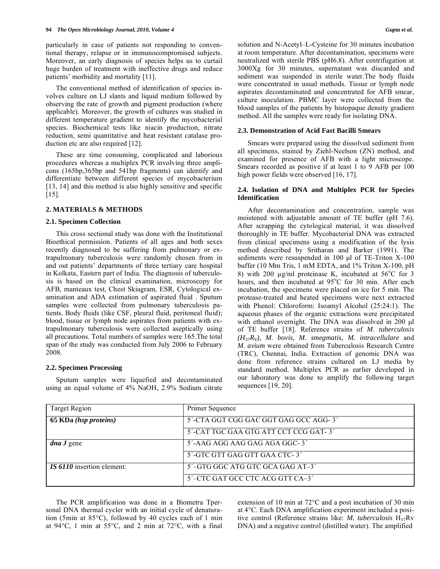particularly in case of patients not responding to conventional therapy, relapse or in immunocompromised subjects. Moreover, an early diagnosis of species helps us to curtail huge burden of treatment with ineffective drugs and reduce patients' morbidity and mortality [11].

 The conventional method of identification of species involves culture on LJ slants and liquid medium followed by observing the rate of growth and pigment production (where applicable). Moreover, the growth of cultures was studied in different temperature gradient to identify the mycobacterial species. Biochemical tests like niacin production, nitrate reduction, semi quantitative and heat resistant catalase production etc are also required [12].

 These are time consuming, complicated and laborious procedures whereas a multiplex PCR involving three amplicons (165bp,365bp and 541bp fragments) can identify and differentiate between different species of mycobacterium [13, 14] and this method is also highly sensitive and specific [15].

## **2. MATERIALS & METHODS**

#### **2.1. Specimen Collection**

 This cross sectional study was done with the Institutional Bioethical permission. Patients of all ages and both sexes recently diagnosed to be suffering from pulmonary or extrapulmonary tuberculosis were randomly chosen from in and out patients' departments of three tertiary care hospital in Kolkata, Eastern part of India. The diagnosis of tuberculosis is based on the clinical examination, microscopy for AFB, manteaux test, Chest Skiagram, ESR, Cytological examination and ADA estimation of aspirated fluid . Sputum samples were collected from pulmonary tuberculosis patients. Body fluids (like CSF, pleural fluid, peritoneal fluid); blood, tissue or lymph node aspirates from patients with extrapulmonary tuberculosis were collected aseptically using all precautions. Total numbers of samples were 165.The total span of the study was conducted from July 2006 to February 2008.

#### **2.2. Specimen Processing**

 Sputum samples were liquefied and decontaminated using an equal volume of 4% NaOH, 2.9% Sodium citrate solution and N-Acetyl–L-Cysteine for 30 minutes incubation at room temperature. After decontamination, specimens were neutralized with sterile PBS (pH6.8). After centrifugation at 3000Xg for 30 minutes, supernatant was discarded and sediment was suspended in sterile water.The body fluids were concentrated in usual methods. Tissue or lymph node aspirates decontaminated and concentrated for AFB smear, culture inoculation. PBMC layer were collected from the blood samples of the patients by histopaque density gradient method. All the samples were ready for isolating DNA.

#### **2.3. Demonstration of Acid Fast Bacilli Smears**

 Smears were prepared using the dissolved sediment from all specimens, stained by Ziehl-Neelson (ZN) method, and examined for presence of AFB with a light microscope. Smears recorded as positive if at least 1 to 9 AFB per 100 high power fields were observed [16, 17].

## **2.4. Isolation of DNA and Multiplex PCR for Species Identification**

 After decontamination and concentration, sample was moistened with adjustable amount of TE buffer (pH 7.6). After scrapping the cytological material, it was dissolved thoroughly in TE buffer. Mycobacterial DNA was extracted from clinical specimens using a modification of the lysis method described by Sritharan and Barker (1991). The sediments were resuspended in 100 μl of TE-Triton X-100 buffer (10 Mm Tris, 1 mM EDTA, and 1% Triton X-100, pH 8) with 200  $\mu$ g/ml proteinase K, incubated at 56°C for 3 hours, and then incubated at 95°C for 30 min. After each incubation, the specimens were placed on ice for 5 min. The protease-treated and heated specimens were next extracted with Phenol: Chloroform: Isoamyl Alcohol (25:24:1). The aqueous phases of the organic extractions were precipitated with ethanol overnight. The DNA was dissolved in 200 μl of TE buffer [18]. Reference strains of *M. tuberculosis (H37RV), M. bovis, M. smegmatis, M. intracellulare* and *M. avium* were obtained from Tuberculosis Research Centre (TRC), Chennai, India. Extraction of genomic DNA was done from reference strains cultured on LJ media by standard method. Multiplex PCR as earlier developed in our laboratory was done to amplify the following target sequences [19, 20].

| <b>Target Region</b>       | Primer Sequence                       |
|----------------------------|---------------------------------------|
| 65 KDa (hsp proteins)      | 5'-CTA GGT CGG GAC GGT GAG GCC AGG-3' |
|                            | 5'-CAT TGC GAA GTG ATT CCT CCG GAT-3' |
| <i>dna J</i> gene          | 5'-AAG AGG AAG GAG AGA GGC-3'         |
|                            | 5'-GTC GTT GAG GTT GAA CTC-3'         |
| IS 6110 insertion element: | 5'-GTG GGC ATG GTC GCA GAG AT-3'      |
|                            | 5'-CTC GAT GCC CTC ACG GTT CA-3'      |

 The PCR amplification was done in a Biometra Tpersonal DNA thermal cycler with an initial cycle of denaturation (5min at 85°C), followed by 40 cycles each of 1 min at 94°C, 1 min at 55°C, and 2 min at 72°C, with a final extension of 10 min at 72°C and a post incubation of 30 min at 4°C. Each DNA amplification experiment included a positive control (Reference strains like: *M. tuberculosis* H37Rv DNA) and a negative control (distilled water). The amplified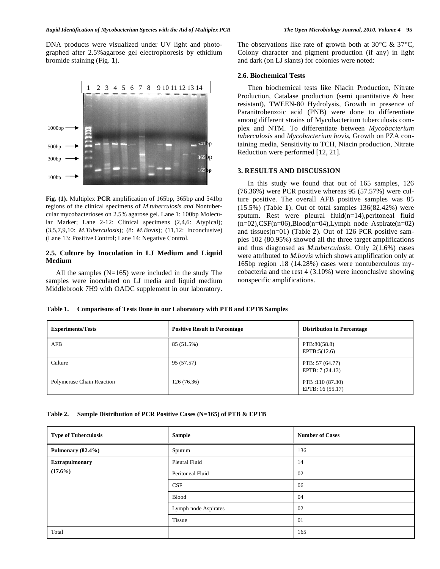DNA products were visualized under UV light and photographed after 2.5%agarose gel electrophoresis by ethidium bromide staining (Fig. **1**).



**Fig. (1).** Multiplex **PCR** amplification of 165bp, 365bp and 541bp regions of the clinical specimens of *M*.*tuberculosis and* Nontubercular mycobacterioses on 2.5% agarose gel. Lane 1: 100bp Molecular Marker; Lane 2-12: Clinical specimens (2,4,6: Atypical); (3,5,7,9,10: *M.Tuberculosis*); (8: *M.Bovis*); (11,12: Inconclusive) (Lane 13: Positive Control; Lane 14: Negative Control.

## **2.5. Culture by Inoculation in LJ Medium and Liquid Medium**

 All the samples (N=165) were included in the study The samples were inoculated on LJ media and liquid medium Middlebrook 7H9 with OADC supplement in our laboratory. The observations like rate of growth both at  $30^{\circ}$ C &  $37^{\circ}$ C, Colony character and pigment production (if any) in light and dark (on LJ slants) for colonies were noted:

#### **2.6. Biochemical Tests**

 Then biochemical tests like Niacin Production, Nitrate Production, Catalase production (semi quantitative & heat resistant), TWEEN-80 Hydrolysis, Growth in presence of Paranitrobenzoic acid (PNB) were done to differentiate among different strains of Mycobacterium tuberculosis complex and NTM. To differentiate between *Mycobacterium tuberculosis* and *Mycobacterium bovis*, Growth on PZA containing media, Sensitivity to TCH, Niacin production, Nitrate Reduction were performed [12, 21].

#### **3. RESULTS AND DISCUSSION**

 In this study we found that out of 165 samples, 126 (76.36%) were PCR positive whereas 95 (57.57%) were culture positive. The overall AFB positive samples was 85 (15.5%) (Table **1**). Out of total samples 136(82.42%) were sputum. Rest were pleural fluid(n=14),peritoneal fluid  $(n=02)$ , CSF(n=06), Blood(n=04), Lymph node Aspirate(n=02) and tissues(n=01) (Table **2**). Out of 126 PCR positive samples 102 (80.95%) showed all the three target amplifications and thus diagnosed as *M.tuberculosis*. Only 2(1.6%) cases were attributed to *M.bovis* which shows amplification only at 165bp region .18 (14.28%) cases were nontuberculous mycobacteria and the rest 4 (3.10%) were inconclusive showing nonspecific amplifications.

#### **Table 1. Comparisons of Tests Done in our Laboratory with PTB and EPTB Samples**

| <b>Experiments/Tests</b>  | <b>Positive Result in Percentage</b> | <b>Distribution in Percentage</b>    |
|---------------------------|--------------------------------------|--------------------------------------|
| AFB                       | 85 (51.5%)                           | PTB:80(58.8)<br>EPTB:5(12.6)         |
| Culture                   | 95 (57.57)                           | PTB: 57 (64.77)<br>EPTB: 7 (24.13)   |
| Polymerase Chain Reaction | 126(76.36)                           | PTB :110 (87.30)<br>EPTB: 16 (55.17) |

| Table 2. | Sample Distribution of PCR Positive Cases (N=165) of PTB & EPTB |  |  |
|----------|-----------------------------------------------------------------|--|--|
|          |                                                                 |  |  |

| <b>Type of Tuberculosis</b>         | Sample               | <b>Number of Cases</b> |
|-------------------------------------|----------------------|------------------------|
| Pulmonary (82.4%)                   | Sputum               | 136                    |
| <b>Extrapulmonary</b><br>$(17.6\%)$ | Pleural Fluid        | 14                     |
|                                     | Peritoneal Fluid     | 02                     |
|                                     | CSF                  | 06                     |
|                                     | <b>Blood</b>         | 04                     |
|                                     | Lymph node Aspirates | 02                     |
|                                     | <b>Tissue</b>        | 01                     |
| Total                               |                      | 165                    |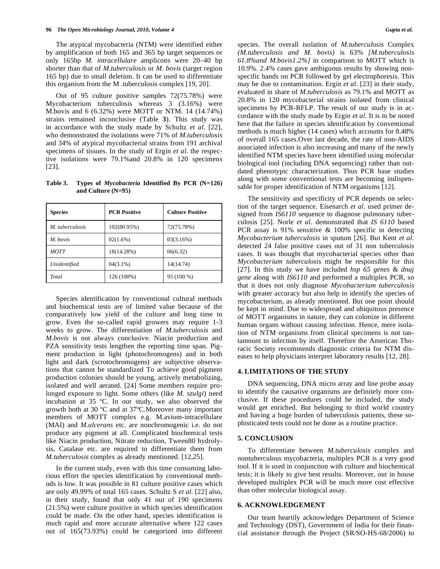The atypical mycobacteria (NTM) were identified either by amplification of both 165 and 365 bp target sequences or only 165bp *M. intracellulare* amplicons were 20–40 bp shorter than that of *M.tuberculosis* or *M. bovis* (target region 165 bp) due to small deletion. It can be used to differentiate this organism from the M .tuberculosis complex [19, 20].

 Out of 95 culture positive samples 72(75.78%) were Mycobacterium tuberculosis whereas 3 (3.16%) were M.bovis and 6 (6.32%) were MOTT or NTM. 14 (14.74%) strains remained inconclusive (Table **3**). This study was in accordance with the study made by Schultz *et al*. [22], who demonstrated the isolations were 71% of *M.tuberculosis* and 34% of atypical mycobacterial strains from 191 archival specimens of tissues. In the study of Ergin *et al*. the respective isolations were 79.1%and 20.8% in 120 specimens [23].

**Table 3. Types of** *Mycobacteria* **Identified By PCR (N=126) and Culture (N=95)** 

| <b>Species</b>  | <b>PCR Positive</b> | <b>Culture Positive</b> |
|-----------------|---------------------|-------------------------|
| M. tuberculosis | 102(80.95%)         | 72(75.78%)              |
| M. bovis        | 02(1.6%)            | 03(3.16%)               |
| <b>MOTT</b>     | 18(14.28%)          | 06(6.32)                |
| Unidentified    | $04(3.1\%)$         | 14(14.74)               |
| Total           | 126 (100%)          | 95 (100 %)              |

 Species identification by conventional cultural methods and biochemical tests are of limited value because of the comparatively low yield of the culture and long time to grow. Even the so-called rapid growers may require 1-3 weeks to grow. The differentiation of *M.tuberculosis* and *M.bovis* is not always conclusive. Niacin production and PZA sensitivity tests lengthen the reporting time span. Pigment production in light (photochromogens) and in both light and dark (scrotochromogens) are subjective observations that cannot be standardized To achieve good pigment production colonies should be young, actively metabolizing, isolated and well aerated. [24] Some members require prolonged exposure to light. Some others (like *M. szulgi*) need incubation at 35 ºC. In our study, we also observed the growth both at 30 ºC and at 37ºC.Moreover many important members of MOTT complex e.g. M.avium-intracellulare (MAI) and *M.ulcerans* etc. are nonchromogenic i.e. do not produce any pigment at all. Complicated biochemical tests like Niacin production, Nitrate reduction, Tween80 hydrolysis, Catalase etc. are required to differentiate them from *M.tuberculosis* complex as already mentioned. [12,25].

 In the current study, even with this time consuming laborious effort the species identification by conventional methods is low. It was possible in 81 culture positive cases which are only 49.99% of total 165 cases. Schultz S *et al.* [22] also, in their study, found that only 41 out of 190 specimens (21.5%) were culture positive in which species identification could be made. On the other hand, species identification is much rapid and more accurate alternative where 122 cases out of 165(73.93%) could be categorized into different species. The overall isolation of *M.tuberculosis* Complex *(M.tuberculosis and M. bovis)* is 63% *[M.tuberculosis 61.8%and M.bovis1.2%]* in comparison to MOTT which is 10.9%. 2.4% cases gave ambiguous results by showing nonspecific bands on PCR followed by gel electrophoresis. This may be due to contamination. Ergin *et al*. [23] in their study, evaluated in share of *M.tuberculosis* as 79.1% and MOTT as 20.8% in 120 mycobacterial strains isolated from clinical specimens by PCR-RFLP. The result of our study is in accordance with the study made by Ergin *et al*. It is to be noted here that the failure in species identification by conventional methods is much higher (14 cases) which accounts for 8.48% of overall 165 cases.Over last decade, the rate of non-AIDS associated infection is also increasing and many of the newly identified NTM species have been identified using molecular biological tool (including DNA sequencing) rather than outdated phenotypic characterization. Thus PCR base studies along with some conventional tests are becoming indispensable for proper identification of NTM organisms [12].

 The sensitivity and specificity of PCR depends on selection of the target sequence. Eisenarch *et al*. used primer designed from *IS6110* sequence to diagnose pulmonary tuberculosis [25]. Norle *et al*. demonstrated that *IS 6110* based PCR assay is 91% sensitive & 100% specific in detecting *Mycobacterium tuberculosis* in sputum [26]. But Kent *et al.* detected 24 false positive cases out of 31 non tuberculosis cases. It was thought that mycobacterial species other than *Mycobacterium tuberculosis* might be responsible for this [27]. In this study we have included *hsp 65 genes* & *dnaj gene* along with *IS6110* and performed a multiplex PCR, so that it does not only diagnose *Mycobacterium tuberculosis* with greater accuracy but also help to identify the species of mycobacterium, as already mentioned. But one point should be kept in mind. Due to widespread and ubiquitous presence of MOTT organisms in nature, they can colonize in different human organs without causing infection. Hence, mere isolation of NTM organisms from clinical specimens is not tantamount to infection by itself. Therefore the American Thoracic Society recommends diagnostic criteria for NTM diseases to help physicians interpret laboratory results [12, 28].

### **4. LIMITATIONS OF THE STUDY**

 DNA sequencing, DNA micro array and line probe assay to identify the causative organisms are definitely more conclusive. If these procedures could be included, the study would get enriched. But belonging to third world country and having a huge burden of tuberculosis patients, these sophisticated tests could not be done as a routine practice.

## **5. CONCLUSION**

 To differentiate between *M.tuberculosis* complex and nontuberculous mycobacteria, multiplex PCR is a very good tool. If it is used in conjunction with culture and biochemical tests; it is likely to give best results. Moreover, our in house developed multiplex PCR will be much more cost effective than other molecular biological assay.

#### **6. ACKNOWLEDGEMENT**

 Our team heartily acknowledges Department of Science and Technology (DST), Government of India for their financial assistance through the Project (SR/SO-HS-68/2006) to